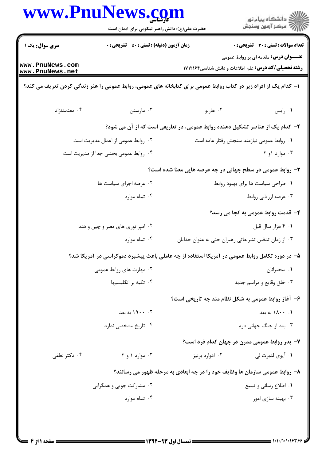| <b>زمان آزمون (دقیقه) : تستی : 50 ٪ تشریحی : 0</b><br>تعداد سوالات : تستى : 30 ٪ تشريحي : 0<br><b>عنـــوان درس:</b> مقدمه ای بر روابط عمومی<br><b>رشته تحصیلی/کد درس:</b> علم اطلاعات و دانش شناسی1۷۱۲۱۶۴<br>ا– کدام یک از افراد زیر در کتاب روابط عمومی برای کتابخانه های عمومی، روابط عمومی را هنر زندگی کردن تعریف می کند؟<br>۰۴ معتمدنژاد<br>۰۳ مارستن<br>۰۲ هارلو<br>٠١. رايس<br>۲- کدام یک از عناصر تشکیل دهنده روابط عمومی، در تعاریفی است که از آن می شود؟<br>٠٢ روابط عمومي از اعمال مديريت است<br>٠١. روابط عمومي نيازمند سنجش رفتار عامه است<br>۰۴ روابط عمومی بخشی جدا از مدیریت است<br>۰۳ موارد ۱و ۲<br>۰۳ روابط عمومی در سطح جهانی در چه عرصه هایی معنا شده است؟<br>۰۲ عرصه اجرای سیاست ها<br>٠١ طراحي سياست ها براي بهبود روابط<br>۰۴ تمام موارد<br>۰۳ عرصه ارزیابی روابط<br>۴- قدمت روابط عمومی به کجا می رسد؟<br>۰۲ امپراتوری های مصر و چین و هند<br>۰۱ ۴ هزار سال قبل<br>۰۳ از زمان تدفین تشریفاتی رهبران حتی به عنوان خدایان<br>۰۴ تمام موارد<br>۵– در دوره تکامل روابط عمومی در آمریکا استفاده از چه عاملی باعث پیشبرد دموکراسی در آمریکا شد؟<br>۰۲ مهارت های روابط عمومی<br>۰۱ سخنرانان<br>۰۴ تکیه بر انگلیسیها<br>۰۳ خلق وقايع و مراسم جديد<br>۶- آغاز روابط عمومی به شکل نظام مند چه تاریخی است؟<br>۰۲ . ۱۹۰۰ به بعد<br>۰۱ ۱۸۰۰ به بعد<br>۰۴ تاریخ مشخصی ندارد<br>۰۳ بعد از جنگ جهانی دوم<br>۷- پدر روابط عمومی مدرن در جهان کدام فرد است؟<br>۰۳ موارد ۱ و ۲<br>۰۴ دکتر نطقی<br>۰۲ ادوارد برنیز<br>۰۱ آيوي لدبرت لي |                                    | www.PnuNews.com<br>حضرت علی(ع): دانش راهبر نیکویی برای ایمان است | د<br>دانشڪاه پيام نور<br>7- مرڪز آزمون وسنڊش |
|--------------------------------------------------------------------------------------------------------------------------------------------------------------------------------------------------------------------------------------------------------------------------------------------------------------------------------------------------------------------------------------------------------------------------------------------------------------------------------------------------------------------------------------------------------------------------------------------------------------------------------------------------------------------------------------------------------------------------------------------------------------------------------------------------------------------------------------------------------------------------------------------------------------------------------------------------------------------------------------------------------------------------------------------------------------------------------------------------------------------------------------------------------------------------------------------------------------------------------------------------------------------------------------------------------------------------------------------------------------------------------------------------------------------------------------------|------------------------------------|------------------------------------------------------------------|----------------------------------------------|
|                                                                                                                                                                                                                                                                                                                                                                                                                                                                                                                                                                                                                                                                                                                                                                                                                                                                                                                                                                                                                                                                                                                                                                                                                                                                                                                                                                                                                                            | سری سوال: یک ۱                     |                                                                  |                                              |
|                                                                                                                                                                                                                                                                                                                                                                                                                                                                                                                                                                                                                                                                                                                                                                                                                                                                                                                                                                                                                                                                                                                                                                                                                                                                                                                                                                                                                                            | www.PnuNews.com<br>www.PnuNews.net |                                                                  |                                              |
|                                                                                                                                                                                                                                                                                                                                                                                                                                                                                                                                                                                                                                                                                                                                                                                                                                                                                                                                                                                                                                                                                                                                                                                                                                                                                                                                                                                                                                            |                                    |                                                                  |                                              |
|                                                                                                                                                                                                                                                                                                                                                                                                                                                                                                                                                                                                                                                                                                                                                                                                                                                                                                                                                                                                                                                                                                                                                                                                                                                                                                                                                                                                                                            |                                    |                                                                  |                                              |
|                                                                                                                                                                                                                                                                                                                                                                                                                                                                                                                                                                                                                                                                                                                                                                                                                                                                                                                                                                                                                                                                                                                                                                                                                                                                                                                                                                                                                                            |                                    |                                                                  |                                              |
|                                                                                                                                                                                                                                                                                                                                                                                                                                                                                                                                                                                                                                                                                                                                                                                                                                                                                                                                                                                                                                                                                                                                                                                                                                                                                                                                                                                                                                            |                                    |                                                                  |                                              |
|                                                                                                                                                                                                                                                                                                                                                                                                                                                                                                                                                                                                                                                                                                                                                                                                                                                                                                                                                                                                                                                                                                                                                                                                                                                                                                                                                                                                                                            |                                    |                                                                  |                                              |
|                                                                                                                                                                                                                                                                                                                                                                                                                                                                                                                                                                                                                                                                                                                                                                                                                                                                                                                                                                                                                                                                                                                                                                                                                                                                                                                                                                                                                                            |                                    |                                                                  |                                              |
|                                                                                                                                                                                                                                                                                                                                                                                                                                                                                                                                                                                                                                                                                                                                                                                                                                                                                                                                                                                                                                                                                                                                                                                                                                                                                                                                                                                                                                            |                                    |                                                                  |                                              |
|                                                                                                                                                                                                                                                                                                                                                                                                                                                                                                                                                                                                                                                                                                                                                                                                                                                                                                                                                                                                                                                                                                                                                                                                                                                                                                                                                                                                                                            |                                    |                                                                  |                                              |
|                                                                                                                                                                                                                                                                                                                                                                                                                                                                                                                                                                                                                                                                                                                                                                                                                                                                                                                                                                                                                                                                                                                                                                                                                                                                                                                                                                                                                                            |                                    |                                                                  |                                              |
|                                                                                                                                                                                                                                                                                                                                                                                                                                                                                                                                                                                                                                                                                                                                                                                                                                                                                                                                                                                                                                                                                                                                                                                                                                                                                                                                                                                                                                            |                                    |                                                                  |                                              |
|                                                                                                                                                                                                                                                                                                                                                                                                                                                                                                                                                                                                                                                                                                                                                                                                                                                                                                                                                                                                                                                                                                                                                                                                                                                                                                                                                                                                                                            |                                    |                                                                  |                                              |
|                                                                                                                                                                                                                                                                                                                                                                                                                                                                                                                                                                                                                                                                                                                                                                                                                                                                                                                                                                                                                                                                                                                                                                                                                                                                                                                                                                                                                                            |                                    |                                                                  |                                              |
|                                                                                                                                                                                                                                                                                                                                                                                                                                                                                                                                                                                                                                                                                                                                                                                                                                                                                                                                                                                                                                                                                                                                                                                                                                                                                                                                                                                                                                            |                                    |                                                                  |                                              |
|                                                                                                                                                                                                                                                                                                                                                                                                                                                                                                                                                                                                                                                                                                                                                                                                                                                                                                                                                                                                                                                                                                                                                                                                                                                                                                                                                                                                                                            |                                    |                                                                  |                                              |
|                                                                                                                                                                                                                                                                                                                                                                                                                                                                                                                                                                                                                                                                                                                                                                                                                                                                                                                                                                                                                                                                                                                                                                                                                                                                                                                                                                                                                                            |                                    |                                                                  |                                              |
|                                                                                                                                                                                                                                                                                                                                                                                                                                                                                                                                                                                                                                                                                                                                                                                                                                                                                                                                                                                                                                                                                                                                                                                                                                                                                                                                                                                                                                            |                                    |                                                                  |                                              |
|                                                                                                                                                                                                                                                                                                                                                                                                                                                                                                                                                                                                                                                                                                                                                                                                                                                                                                                                                                                                                                                                                                                                                                                                                                                                                                                                                                                                                                            |                                    |                                                                  |                                              |
|                                                                                                                                                                                                                                                                                                                                                                                                                                                                                                                                                                                                                                                                                                                                                                                                                                                                                                                                                                                                                                                                                                                                                                                                                                                                                                                                                                                                                                            |                                    |                                                                  |                                              |
|                                                                                                                                                                                                                                                                                                                                                                                                                                                                                                                                                                                                                                                                                                                                                                                                                                                                                                                                                                                                                                                                                                                                                                                                                                                                                                                                                                                                                                            |                                    |                                                                  |                                              |
| ۸– روابط عمومی سازمان ها وظایف خود را در چه ابعادی به مرحله ظهور می رسانند؟                                                                                                                                                                                                                                                                                                                                                                                                                                                                                                                                                                                                                                                                                                                                                                                                                                                                                                                                                                                                                                                                                                                                                                                                                                                                                                                                                                |                                    |                                                                  |                                              |
| ۰۱ اطلاع رسانی و تبلیغ<br>۰۲ مشارکت جویی و همگرایی                                                                                                                                                                                                                                                                                                                                                                                                                                                                                                                                                                                                                                                                                                                                                                                                                                                                                                                                                                                                                                                                                                                                                                                                                                                                                                                                                                                         |                                    |                                                                  |                                              |
| ۰۴ تمام موارد<br>۰۳ بهینه سازی امور                                                                                                                                                                                                                                                                                                                                                                                                                                                                                                                                                                                                                                                                                                                                                                                                                                                                                                                                                                                                                                                                                                                                                                                                                                                                                                                                                                                                        |                                    |                                                                  |                                              |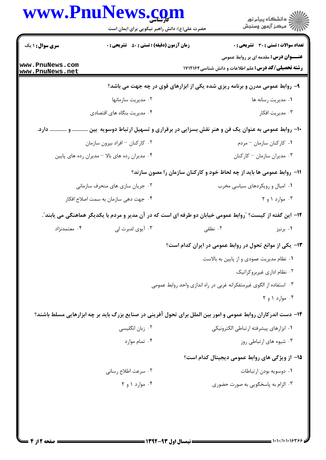|                                    | www.PnuNews.com                                                                                                |                                        | ڪ دانشڪاه پيام نور<br>/7 مرڪز آزمون وسنڊش                                                                  |  |
|------------------------------------|----------------------------------------------------------------------------------------------------------------|----------------------------------------|------------------------------------------------------------------------------------------------------------|--|
|                                    | حضرت علی(ع): دانش راهبر نیکویی برای ایمان است                                                                  |                                        |                                                                                                            |  |
| <b>سری سوال : ۱ یک</b>             | <b>زمان آزمون (دقیقه) : تستی : 50 ٪ تشریحی : 0</b>                                                             |                                        | <b>تعداد سوالات : تستی : 30 ٪ تشریحی : 0</b>                                                               |  |
| www.PnuNews.com<br>www.PnuNews.net |                                                                                                                |                                        | <b>عنـــوان درس:</b> مقدمه ای بر روابط عمومی<br><b>رشته تحصیلی/کد درس:</b> علم اطلاعات و دانش شناسی1۷۱۲۱۶۴ |  |
|                                    | ۹- روابط عمومی مدرن و برنامه ریزی شده یکی از ابزارهای قوی در چه جهت می باشد؟                                   |                                        |                                                                                                            |  |
|                                    | ۰۲ مدیریت سازمانها                                                                                             |                                        | ٠١ مديريت رسانه ها                                                                                         |  |
|                                    | ۰۴ مدیریت بنگاه های اقتصادی                                                                                    |                                        | ۰۳ مدیریت افکار                                                                                            |  |
|                                    | -۱۰- روابط عمومی به عنوان یک فن و هنر نقش بسزایی در برقراری و تسهیل ارتباط دوسویه بین  و  دارد.                |                                        |                                                                                                            |  |
|                                    | ۰۲ کارکنان – افراد بیرون سازمان                                                                                |                                        | ۰۱ كاركنان سازمان - مردم                                                                                   |  |
|                                    | ۰۴ مدیران رده های بالا - مدیران رده های پایین                                                                  |                                        | ۰۳ مدیران سازمان - کارکنان                                                                                 |  |
|                                    |                                                                                                                |                                        | 11- روابط عمومی ها باید از چه لحاظ خود و کارکنان سازمان را مصون سازند؟                                     |  |
|                                    | ۰۲ جریان سازی های منحرف سازمانی                                                                                |                                        | ۰۱ امیال و رویکردهای سیاسی مخرب                                                                            |  |
|                                    | ۰۴ جهت دهی سازمان به سمت اصلاح افکار                                                                           |                                        | ۰۳ موارد ۱ و ۲                                                                                             |  |
|                                    | ۱۲– این گفته از کیست؟ ″روابط عمومی خیابان دو طرفه ای است که در آن مدیر و مردم با یکدیگر هماهنگی می یابند″.     |                                        |                                                                                                            |  |
| ۰۴ معتمدنژاد                       | ۰۳ آيوي لدبرت لي                                                                                               | ۲. نطقی                                | ۰۱ برنیز                                                                                                   |  |
|                                    |                                                                                                                |                                        | ۱۳- یکی از موانع تحول در روابط عمومی در ایران کدام است؟                                                    |  |
|                                    |                                                                                                                |                                        | ۰۱ نظام مدیریت عمودی و از پایین به بالاست                                                                  |  |
|                                    |                                                                                                                |                                        | ۰۲ نظام اداری غیربروکراتیک                                                                                 |  |
|                                    |                                                                                                                |                                        | ۰۳ استفاده از الگوی غیرمتفکرانه غربی در راه اندازی واحد روابط عمومی                                        |  |
|                                    |                                                                                                                |                                        | ۰۴ موارد ۱ و ۲                                                                                             |  |
|                                    | ۱۴- دست اندرکاران روابط عمومی و امور بین الملل برای تحول آفرینی در صنایع بزرگ باید بر چه ابزارهایی مسلط باشند؟ |                                        |                                                                                                            |  |
| ۰۲ زبان انگلیسی                    |                                                                                                                | ٠١ ابزارهاي پيشرفته ارتباطي الكترونيكي |                                                                                                            |  |
|                                    | ۰۴ تمام موارد                                                                                                  |                                        | ۰۳ شیوه های ارتباطی روز                                                                                    |  |
|                                    |                                                                                                                |                                        | 1۵– از ویژگی های روابط عمومی دیجیتال کدام است؟                                                             |  |
|                                    | ۰۲ سرعت اطلاع رسانی                                                                                            |                                        | ٠١ دوسويه بودن ارتباطات                                                                                    |  |
|                                    | ۰۴ موارد ۱ و ۲                                                                                                 |                                        | ۰۳ الزام به پاسخگویی به صورت حضوری                                                                         |  |
|                                    |                                                                                                                |                                        |                                                                                                            |  |
|                                    |                                                                                                                |                                        |                                                                                                            |  |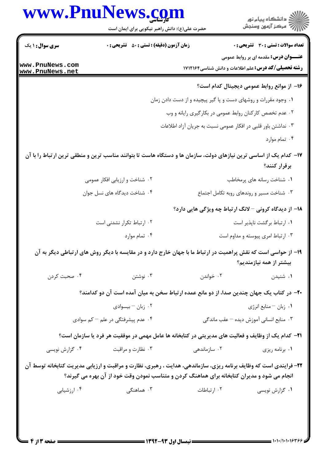|                                    | حضرت علی(ع): دانش راهبر نیکویی برای ایمان است                                                                                                                                                                           |                                                                | ڪ دانشڪاه پيام نور<br>ر∕ = مرڪز آزمون وسنڊش                                                                |
|------------------------------------|-------------------------------------------------------------------------------------------------------------------------------------------------------------------------------------------------------------------------|----------------------------------------------------------------|------------------------------------------------------------------------------------------------------------|
| <b>سری سوال : ۱ یک</b>             | <b>زمان آزمون (دقیقه) : تستی : 50 ٪ تشریحی : 0</b>                                                                                                                                                                      |                                                                | <b>تعداد سوالات : تستی : 30 ٪ تشریحی : 0</b>                                                               |
| www.PnuNews.com<br>www.PnuNews.net |                                                                                                                                                                                                                         |                                                                | <b>عنـــوان درس:</b> مقدمه ای بر روابط عمومی<br><b>رشته تحصیلی/کد درس:</b> علم اطلاعات و دانش شناسی1۷۱۲۱۶۴ |
|                                    |                                                                                                                                                                                                                         |                                                                | ۱۶– از موانع روابط عمومی دیجیتال کدام است؟                                                                 |
|                                    |                                                                                                                                                                                                                         | ۰۱ وجود مقررات و روشهای دست و پا گیر پیچیده و از دست دادن زمان |                                                                                                            |
|                                    |                                                                                                                                                                                                                         | ۰۲ عدم تخصص کارکنان روابط عمومی در بکارگیری رایانه و وب        |                                                                                                            |
|                                    |                                                                                                                                                                                                                         | ۰۳ نداشتن باور قلبی در افکار عمومی نسبت به جریان آزاد اطلاعات  |                                                                                                            |
|                                    |                                                                                                                                                                                                                         |                                                                | ۰۴ تمام موارد                                                                                              |
|                                    | ۱۷– کدام یک از اساسی ترین نیازهای دولت، سازمان ها و دستگاه هاست تا بتوانند مناسب ترین و منطقی ترین ارتباط را با آن                                                                                                      |                                                                | برقرار كنند؟                                                                                               |
|                                    | ۲. شناخت و ارزیابی افکار عمومی                                                                                                                                                                                          |                                                                | ۰۱ شناخت رسانه های پرمخاطب                                                                                 |
|                                    | ۰۴ شناخت دیدگاه های نسل جوان                                                                                                                                                                                            |                                                                | ۰۳ شناخت مسیر و روندهای روبه تکامل اجتماع                                                                  |
|                                    |                                                                                                                                                                                                                         | ۱۸– از دیدگاه کرونی – لانگ ارتباط چه ویژگی هایی دارد؟          |                                                                                                            |
|                                    | ۰۲ ارتباط تکرار نشدنی است                                                                                                                                                                                               |                                                                | ٠١ ارتباط بركشت ناپذير است                                                                                 |
|                                    | ۰۴ تمام موارد                                                                                                                                                                                                           |                                                                | ۰۳ ارتباط امری پیوسته و مداوم است                                                                          |
|                                    | ۱۹- از حواسی است که نقش پراهمیت در ارتباط ما با جهان خارج دارد و در مقایسه با دیگر روش های ارتباطی دیگر به آن                                                                                                           |                                                                | بیشتر از همه نیازمندیم؟                                                                                    |
| ۰۴ صحبت کردن                       | ۰۳ نوشتن                                                                                                                                                                                                                | ۰۲ خواندن                                                      | ۰۱ شنیدن                                                                                                   |
|                                    | +۲- در کتاب یک جهان چندین صدا، از دو مانع عمده ارتباط سخن به میان آمده است آن دو کدامند؟                                                                                                                                |                                                                |                                                                                                            |
|                                    | ۰۲ زبان – بیسوادی                                                                                                                                                                                                       |                                                                | ۰۱ زبان – منابع انرژي                                                                                      |
| ۰۴ عدم پیشرفتگی در علم - کم سوادی  |                                                                                                                                                                                                                         |                                                                | ۰۳ منابع انسانی آموزش دیده <sup>—</sup> عقب ماندگی                                                         |
|                                    | <b>۲۱</b> – کدام یک از وظایف و فعالیت های مدیریتی در کتابخانه ها عامل مهمی در موفقیت هر فرد یا سازمان است؟                                                                                                              |                                                                |                                                                                                            |
| ۰۴ گزارش نویسی                     | ۰۳ نظارت و مراقبت                                                                                                                                                                                                       | ۰۲ سازماندهی                                                   | ۰۱ برنامه ریزی                                                                                             |
|                                    | ۲۲- فرایندی است که وظایف برنامه ریزی، سازماندهی، هدایت ، رهبری، نظارت و مراقبت و ارزیابی مدیریت کتابخانه توسط آن<br><b>انجام می شود و مدیران کتابخانه برای هماهنگ کردن و متناسب نمودن وقت خود از آن بهره می گیرند</b> ؟ |                                                                |                                                                                                            |
| ۰۴ ارزشیابی                        | ۰۳ هماهنگی                                                                                                                                                                                                              | ۰۲ ارتباطات                                                    | ۰۱ گزارش نویسی                                                                                             |